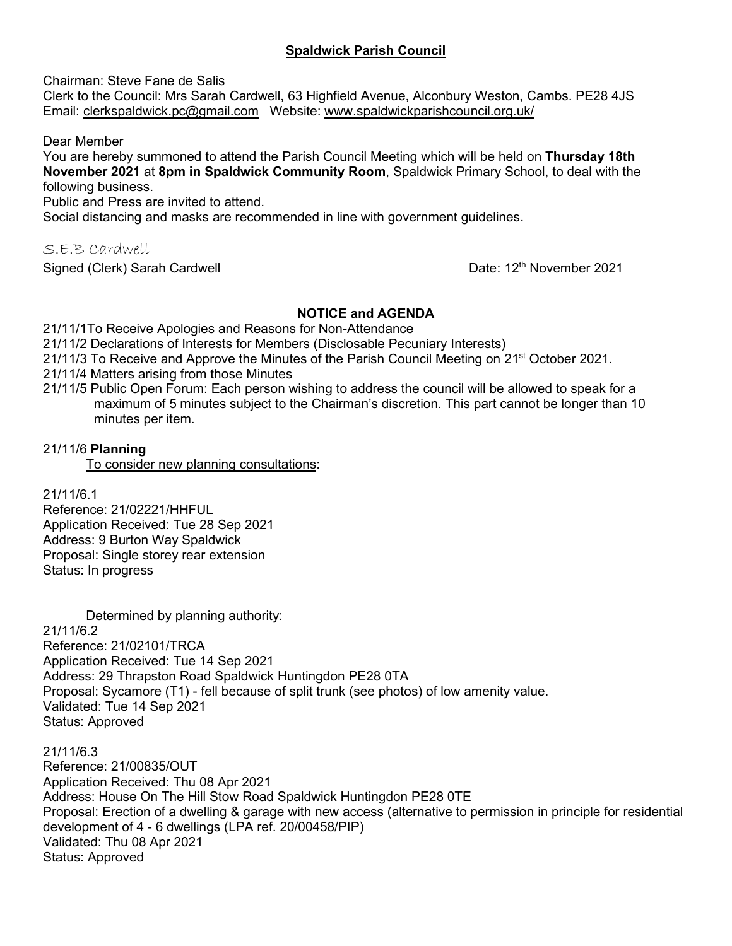# **Spaldwick Parish Council**

Chairman: Steve Fane de Salis

Clerk to the Council: Mrs Sarah Cardwell, 63 Highfield Avenue, Alconbury Weston, Cambs. PE28 4JS Email: [clerkspaldwick.pc@gmail.com](mailto:clerkspaldwick.pc@gmail.com) Website: [www.spaldwickparishcouncil.org.uk/](http://www.spaldwickparishcouncil.org.uk/)

Dear Member

You are hereby summoned to attend the Parish Council Meeting which will be held on **Thursday 18th November 2021** at **8pm in Spaldwick Community Room**, Spaldwick Primary School, to deal with the following business.

Public and Press are invited to attend.

Social distancing and masks are recommended in line with government guidelines.

S.E.B Cardwell

Signed (Clerk) Sarah Cardwell

Date: 12<sup>th</sup> November 2021

## **NOTICE and AGENDA**

21/11/1To Receive Apologies and Reasons for Non-Attendance

21/11/2 Declarations of Interests for Members (Disclosable Pecuniary Interests)

21/11/3 To Receive and Approve the Minutes of the Parish Council Meeting on 21<sup>st</sup> October 2021.

- 21/11/4 Matters arising from those Minutes
- 21/11/5 Public Open Forum: Each person wishing to address the council will be allowed to speak for a maximum of 5 minutes subject to the Chairman's discretion. This part cannot be longer than 10 minutes per item.

# 21/11/6 **Planning**

To consider new planning consultations:

21/11/6.1

Reference: 21/02221/HHFUL Application Received: Tue 28 Sep 2021 Address: 9 Burton Way Spaldwick Proposal: Single storey rear extension Status: In progress

Determined by planning authority:

21/11/6.2 Reference: 21/02101/TRCA Application Received: Tue 14 Sep 2021 Address: 29 Thrapston Road Spaldwick Huntingdon PE28 0TA Proposal: Sycamore (T1) - fell because of split trunk (see photos) of low amenity value. Validated: Tue 14 Sep 2021 Status: Approved

21/11/6.3

Reference: 21/00835/OUT Application Received: Thu 08 Apr 2021 Address: House On The Hill Stow Road Spaldwick Huntingdon PE28 0TE Proposal: Erection of a dwelling & garage with new access (alternative to permission in principle for residential development of 4 - 6 dwellings (LPA ref. 20/00458/PIP) Validated: Thu 08 Apr 2021 Status: Approved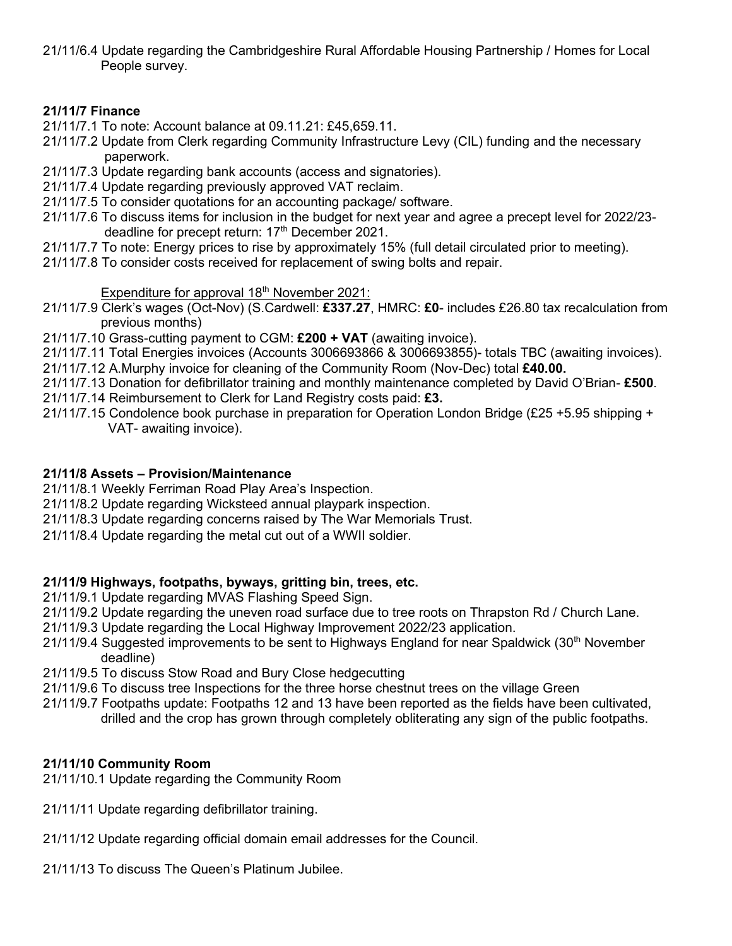21/11/6.4 Update regarding the Cambridgeshire Rural Affordable Housing Partnership / Homes for Local People survey.

# **21/11/7 Finance**

- 21/11/7.1 To note: Account balance at 09.11.21: £45,659.11.
- 21/11/7.2 Update from Clerk regarding Community Infrastructure Levy (CIL) funding and the necessary paperwork.
- 21/11/7.3 Update regarding bank accounts (access and signatories).
- 21/11/7.4 Update regarding previously approved VAT reclaim.
- 21/11/7.5 To consider quotations for an accounting package/ software.
- 21/11/7.6 To discuss items for inclusion in the budget for next year and agree a precept level for 2022/23 deadline for precept return: 17<sup>th</sup> December 2021.
- 21/11/7.7 To note: Energy prices to rise by approximately 15% (full detail circulated prior to meeting).
- 21/11/7.8 To consider costs received for replacement of swing bolts and repair.

## Expenditure for approval 18<sup>th</sup> November 2021:

- 21/11/7.9 Clerk's wages (Oct-Nov) (S.Cardwell: **£337.27**, HMRC: **£0** includes £26.80 tax recalculation from previous months)
- 21/11/7.10 Grass-cutting payment to CGM: **£200 + VAT** (awaiting invoice).
- 21/11/7.11 Total Energies invoices (Accounts 3006693866 & 3006693855)- totals TBC (awaiting invoices).
- 21/11/7.12 A.Murphy invoice for cleaning of the Community Room (Nov-Dec) total **£40.00.**
- 21/11/7.13 Donation for defibrillator training and monthly maintenance completed by David O'Brian- **£500**.
- 21/11/7.14 Reimbursement to Clerk for Land Registry costs paid: **£3.**
- 21/11/7.15 Condolence book purchase in preparation for Operation London Bridge (£25 +5.95 shipping + VAT- awaiting invoice).

### **21/11/8 Assets – Provision/Maintenance**

- 21/11/8.1 Weekly Ferriman Road Play Area's Inspection.
- 21/11/8.2 Update regarding Wicksteed annual playpark inspection.
- 21/11/8.3 Update regarding concerns raised by The War Memorials Trust.
- 21/11/8.4 Update regarding the metal cut out of a WWII soldier.

# **21/11/9 Highways, footpaths, byways, gritting bin, trees, etc.**

- 21/11/9.1 Update regarding MVAS Flashing Speed Sign.
- 21/11/9.2 Update regarding the uneven road surface due to tree roots on Thrapston Rd / Church Lane.
- 21/11/9.3 Update regarding the Local Highway Improvement 2022/23 application.
- 21/11/9.4 Suggested improvements to be sent to Highways England for near Spaldwick (30<sup>th</sup> November deadline)
- 21/11/9.5 To discuss Stow Road and Bury Close hedgecutting
- 21/11/9.6 To discuss tree Inspections for the three horse chestnut trees on the village Green
- 21/11/9.7 Footpaths update: Footpaths 12 and 13 have been reported as the fields have been cultivated, drilled and the crop has grown through completely obliterating any sign of the public footpaths.

# **21/11/10 Community Room**

- 21/11/10.1 Update regarding the Community Room
- 21/11/11 Update regarding defibrillator training.
- 21/11/12 Update regarding official domain email addresses for the Council.
- 21/11/13 To discuss The Queen's Platinum Jubilee.